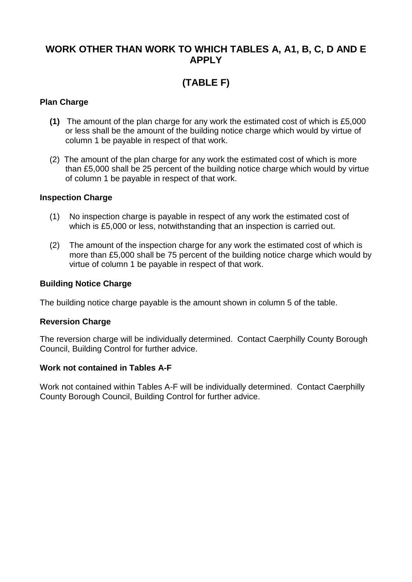### **WORK OTHER THAN WORK TO WHICH TABLES A, A1, B, C, D AND E APPLY**

# **(TABLE F)**

#### **Plan Charge**

- **(1)** The amount of the plan charge for any work the estimated cost of which is £5,000 or less shall be the amount of the building notice charge which would by virtue of column 1 be payable in respect of that work.
- (2) The amount of the plan charge for any work the estimated cost of which is more than £5,000 shall be 25 percent of the building notice charge which would by virtue of column 1 be payable in respect of that work.

#### **Inspection Charge**

- (1) No inspection charge is payable in respect of any work the estimated cost of which is £5,000 or less, notwithstanding that an inspection is carried out.
- (2) The amount of the inspection charge for any work the estimated cost of which is more than £5,000 shall be 75 percent of the building notice charge which would by virtue of column 1 be payable in respect of that work.

#### **Building Notice Charge**

The building notice charge payable is the amount shown in column 5 of the table.

#### **Reversion Charge**

The reversion charge will be individually determined. Contact Caerphilly County Borough Council, Building Control for further advice.

#### **Work not contained in Tables A-F**

Work not contained within Tables A-F will be individually determined. Contact Caerphilly County Borough Council, Building Control for further advice.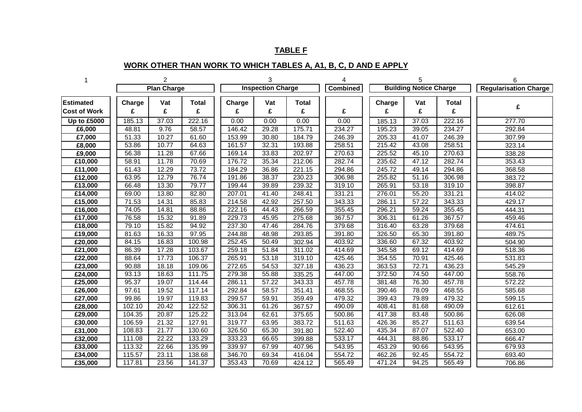### **TABLE F**

## **WORK OTHER THAN WORK TO WHICH TABLES A, A1, B, C, D AND E APPLY**

|                     |                    | $\overline{2}$ |                    | 3                        |       |                     |                 | 5                             |       |              | 6                            |
|---------------------|--------------------|----------------|--------------------|--------------------------|-------|---------------------|-----------------|-------------------------------|-------|--------------|------------------------------|
|                     | <b>Plan Charge</b> |                |                    | <b>Inspection Charge</b> |       |                     | <b>Combined</b> | <b>Building Notice Charge</b> |       |              | <b>Regularisation Charge</b> |
| <b>Estimated</b>    | Charge             | Vat            | <b>Total</b>       | Charge                   | Vat   | <b>Total</b>        |                 | Charge                        | Vat   | <b>Total</b> | £                            |
| <b>Cost of Work</b> | £                  | £              | £                  | £                        | £     | £                   | £               | £                             | £     | £            |                              |
| <b>Up to £5000</b>  | 185.13             | 37.03          | 222.16             | 0.00                     | 0.00  | 0.00                | 0.00            | 185.13                        | 37.03 | 222.16       | 277.70                       |
| £6,000              | 48.81              | 9.76           | 58.57              | 146.42                   | 29.28 | 175.71              | 234.27          | 195.23                        | 39.05 | 234.27       | 292.84                       |
| £7,000              | 51.33              | 10.27          | 61.60              | 153.99                   | 30.80 | 184.79              | 246.39          | 205.33                        | 41.07 | 246.39       | 307.99                       |
| £8,000              | 53.86              | 10.77          | 64.63              | 161.57                   | 32.31 | 193.88              | 258.51          | 215.42                        | 43.08 | 258.51       | 323.14                       |
| £9,000              | 56.38              | 11.28          | 67.66              | 169.14                   | 33.83 | 202.97              | 270.63          | 225.52                        | 45.10 | 270.63       | 338.28                       |
| £10,000             | 58.91              | 11.78          | 70.69              | 176.72                   | 35.34 | 212.06              | 282.74          | 235.62                        | 47.12 | 282.74       | 353.43                       |
| £11,000             | 61.43              | 12.29          | 73.72              | 184.29                   | 36.86 | 221.15              | 294.86          | 245.72                        | 49.14 | 294.86       | 368.58                       |
| £12,000             | 63.95              | 12.79          | 76.74              | 191.86                   | 38.37 | 230.23              | 306.98          | 255.82                        | 51.16 | 306.98       | 383.72                       |
| £13,000             | 66.48              | 13.30          | 79.77              | 199.44                   | 39.89 | 239.32              | 319.10          | 265.91                        | 53.18 | 319.10       | 398.87                       |
| £14,000             | 69.00              | 13.80          | 82.80              | 207.01                   | 41.40 | 248.41              | 331.21          | 276.01                        | 55.20 | 331.21       | 414.02                       |
| £15,000             | 71.53              | 14.31          | 85.83              | 214.58                   | 42.92 | 257.50              | 343.33          | 286.11                        | 57.22 | 343.33       | 429.17                       |
| £16,000             | 74.05              | 14.81          | $88.\overline{86}$ | 222.16                   | 44.43 | 266.59              | 355.45          | 296.21                        | 59.24 | 355.45       | 444.31                       |
| £17,000             | 76.58              | 15.32          | 91.89              | 229.73                   | 45.95 | 275.68              | 367.57          | 306.31                        | 61.26 | 367.57       | 459.46                       |
| £18,000             | 79.10              | 15.82          | 94.92              | 237.30                   | 47.46 | 284.76              | 379.68          | 316.40                        | 63.28 | 379.68       | 474.61                       |
| £19,000             | 81.63              | 16.33          | 97.95              | 244.88                   | 48.98 | 293.85              | 391.80          | 326.50                        | 65.30 | 391.80       | 489.75                       |
| £20,000             | 84.15              | 16.83          | 100.98             | 252.45                   | 50.49 | 302.94              | 403.92          | 336.60                        | 67.32 | 403.92       | 504.90                       |
| £21,000             | 86.39              | 17.28          | 103.67             | 259.18                   | 51.84 | 311.02              | 414.69          | 345.58                        | 69.12 | 414.69       | 518.36                       |
| £22,000             | 88.64              | 17.73          | 106.37             | 265.91                   | 53.18 | 319.10              | 425.46          | 354.55                        | 70.91 | 425.46       | 531.83                       |
| £23,000             | 90.88              | 18.18          | 109.06             | 272.65                   | 54.53 | 327.18              | 436.23          | 363.53                        | 72.71 | 436.23       | 545.29                       |
| £24,000             | 93.13              | 18.63          | 111.75             | 279.38                   | 55.88 | 335.25              | 447.00          | 372.50                        | 74.50 | 447.00       | 558.76                       |
| £25,000             | 95.37              | 19.07          | 114.44             | 286.11                   | 57.22 | 343.33              | 457.78          | 381.48                        | 76.30 | 457.78       | 572.22                       |
| £26,000             | 97.61              | 19.52          | 117.14             | 292.84                   | 58.57 | 351.41              | 468.55          | 390.46                        | 78.09 | 468.55       | 585.68                       |
| £27,000             | 99.86              | 19.97          | 119.83             | 299.57                   | 59.91 | 359.49              | 479.32          | 399.43                        | 79.89 | 479.32       | 599.15                       |
| £28,000             | 102.10             | 20.42          | 122.52             | 306.31                   | 61.26 | 367.57              | 490.09          | 408.41                        | 81.68 | 490.09       | 612.61                       |
| £29,000             | 104.35             | 20.87          | 125.22             | 313.04                   | 62.61 | 375.65              | 500.86          | 417.38                        | 83.48 | 500.86       | 626.08                       |
| £30,000             | 106.59             | 21.32          | 127.91             | 319.77                   | 63.95 | 383.72              | 511.63          | 426.36                        | 85.27 | 511.63       | 639.54                       |
| £31,000             | 108.83             | 21.77          | 130.60             | 326.50                   | 65.30 | 391.80              | 522.40          | 435.34                        | 87.07 | 522.40       | 653.00                       |
| £32,000             | 111.08             | 22.22          | 133.29             | 333.23                   | 66.65 | 399.88              | 533.17          | 444.31                        | 88.86 | 533.17       | 666.47                       |
| £33,000             | 113.32             | 22.66          | 135.99             | 339.97                   | 67.99 | 407.96              | 543.95          | 453.29                        | 90.66 | 543.95       | 679.93                       |
| £34,000             | 115.57             | 23.11          | 138.68             | 346.70                   | 69.34 | 416.04              | 554.72          | 462.26                        | 92.45 | 554.72       | 693.40                       |
| £35,000             | 117.81             | 23.56          | 141.37             | 353.43                   | 70.69 | $\overline{424.12}$ | 565.49          | 471.24                        | 94.25 | 565.49       | 706.86                       |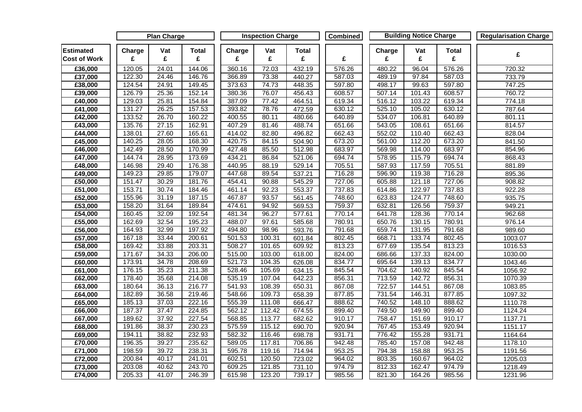|                                         | <b>Plan Charge</b> |          |                   | <b>Inspection Charge</b> |          |                   | Combined | <b>Building Notice Charge</b> |          |                   | <b>Regularisation Charge</b> |
|-----------------------------------------|--------------------|----------|-------------------|--------------------------|----------|-------------------|----------|-------------------------------|----------|-------------------|------------------------------|
| <b>Estimated</b><br><b>Cost of Work</b> | Charge<br>£        | Vat<br>£ | <b>Total</b><br>£ | Charge<br>£              | Vat<br>£ | <b>Total</b><br>£ | £        | Charge<br>£                   | Vat<br>£ | <b>Total</b><br>£ | £                            |
| £36,000                                 | 120.05             | 24.01    | 144.06            | 360.16                   | 72.03    | 432.19            | 576.26   | 480.22                        | 96.04    | 576.26            | 720.32                       |
| £37,000                                 | 122.30             | 24.46    | 146.76            | 366.89                   | 73.38    | 440.27            | 587.03   | 489.19                        | 97.84    | 587.03            | 733.79                       |
| £38,000                                 | 124.54             | 24.91    | 149.45            | 373.63                   | 74.73    | 448.35            | 597.80   | 498.17                        | 99.63    | 597.80            | 747.25                       |
| £39,000                                 | 126.79             | 25.36    | 152.14            | 380.36                   | 76.07    | 456.43            | 608.57   | 507.14                        | 101.43   | 608.57            | 760.72                       |
| £40,000                                 | 129.03             | 25.81    | 154.84            | 387.09                   | 77.42    | 464.51            | 619.34   | 516.12                        | 103.22   | 619.34            | 774.18                       |
| £41,000                                 | 131.27             | 26.25    | 157.53            | 393.82                   | 78.76    | 472.59            | 630.12   | 525.10                        | 105.02   | 630.12            | 787.64                       |
| E42,000                                 | 133.52             | 26.70    | 160.22            | 400.55                   | 80.11    | 480.66            | 640.89   | 534.07                        | 106.81   | 640.89            | 801.11                       |
| E43,000                                 | 135.76             | 27.15    | 162.91            | 407.29                   | 81.46    | 488.74            | 651.66   | 543.05                        | 108.61   | 651.66            | 814.57                       |
| £44,000                                 | 138.01             | 27.60    | 165.61            | 414.02                   | 82.80    | 496.82            | 662.43   | 552.02                        | 110.40   | 662.43            | 828.04                       |
| £45,000                                 | 140.25             | 28.05    | 168.30            | 420.75                   | 84.15    | 504.90            | 673.20   | 561.00                        | 112.20   | 673.20            | 841.50                       |
| £46,000                                 | 142.49             | 28.50    | 170.99            | 427.48                   | 85.50    | 512.98            | 683.97   | 569.98                        | 114.00   | 683.97            | 854.96                       |
| £47,000                                 | 144.74             | 28.95    | 173.69            | 434.21                   | 86.84    | 521.06            | 694.74   | 578.95                        | 115.79   | 694.74            | 868.43                       |
| £48,000                                 | 146.98             | 29.40    | 176.38            | 440.95                   | 88.19    | 529.14            | 705.51   | 587.93                        | 117.59   | 705.51            | 881.89                       |
| £49,000                                 | 149.23             | 29.85    | 179.07            | 447.68                   | 89.54    | 537.21            | 716.28   | 596.90                        | 119.38   | 716.28            | 895.36                       |
| £50,000                                 | 151.47             | 30.29    | 181.76            | 454.41                   | 90.88    | 545.29            | 727.06   | 605.88                        | 121.18   | 727.06            | 908.82                       |
| £51,000                                 | 153.71             | 30.74    | 184.46            | 461.14                   | 92.23    | 553.37            | 737.83   | 614.86                        | 122.97   | 737.83            | 922.28                       |
| £52,000                                 | 155.96             | 31.19    | 187.15            | 467.87                   | 93.57    | 561.45            | 748.60   | 623.83                        | 124.77   | 748.60            | 935.75                       |
| £53,000                                 | 158.20             | 31.64    | 189.84            | 474.61                   | 94.92    | 569.53            | 759.37   | 632.81                        | 126.56   | 759.37            | 949.21                       |
| £54,000                                 | 160.45             | 32.09    | 192.54            | 481.34                   | 96.27    | 577.61            | 770.14   | 641.78                        | 128.36   | 770.14            | 962.68                       |
| £55,000                                 | 162.69             | 32.54    | 195.23            | 488.07                   | 97.61    | 585.68            | 780.91   | 650.76                        | 130.15   | 780.91            | 976.14                       |
| £56,000                                 | 164.93             | 32.99    | 197.92            | 494.80                   | 98.96    | 593.76            | 791.68   | 659.74                        | 131.95   | 791.68            | 989.60                       |
| £57,000                                 | 167.18             | 33.44    | 200.61            | 501.53                   | 100.31   | 601.84            | 802.45   | 668.71                        | 133.74   | 802.45            | 1003.07                      |
| E58,000                                 | 169.42             | 33.88    | 203.31            | 508.27                   | 101.65   | 609.92            | 813.23   | 677.69                        | 135.54   | 813.23            | 1016.53                      |
| £59,000                                 | 171.67             | 34.33    | 206.00            | 515.00                   | 103.00   | 618.00            | 824.00   | 686.66                        | 137.33   | 824.00            | 1030.00                      |
| £60,000                                 | 173.91             | 34.78    | 208.69            | 521.73                   | 104.35   | 626.08            | 834.77   | 695.64                        | 139.13   | 834.77            | 1043.46                      |
| £61,000                                 | 176.15             | 35.23    | 211.38            | 528.46                   | 105.69   | 634.15            | 845.54   | 704.62                        | 140.92   | 845.54            | 1056.92                      |
| £62,000                                 | 178.40             | 35.68    | 214.08            | 535.19                   | 107.04   | 642.23            | 856.31   | 713.59                        | 142.72   | 856.31            | 1070.39                      |
| £63,000                                 | 180.64             | 36.13    | 216.77            | 541.93                   | 108.39   | 650.31            | 867.08   | 722.57                        | 144.51   | 867.08            | 1083.85                      |
| £64,000                                 | 182.89             | 36.58    | 219.46            | 548.66                   | 109.73   | 658.39            | 877.85   | 731.54                        | 146.31   | 877.85            | 1097.32                      |
| £65,000                                 | 185.13             | 37.03    | 222.16            | 555.39                   | 111.08   | 666.47            | 888.62   | 740.52                        | 148.10   | 888.62            | 1110.78                      |
| £66,000                                 | 187.37             | 37.47    | 224.85            | 562.12                   | 112.42   | 674.55            | 899.40   | 749.50                        | 149.90   | 899.40            | 1124.24                      |
| £67,000                                 | 189.62             | 37.92    | 227.54            | 568.85                   | 113.77   | 682.62            | 910.17   | 758.47                        | 151.69   | 910.17            | 1137.71                      |
| £68,000                                 | 191.86             | 38.37    | 230.23            | 575.59                   | 115.12   | 690.70            | 920.94   | 767.45                        | 153.49   | 920.94            | 1151.17                      |
| £69,000                                 | 194.11             | 38.82    | 232.93            | 582.32                   | 116.46   | 698.78            | 931.71   | 776.42                        | 155.28   | 931.71            | 1164.64                      |
| £70,000                                 | 196.35             | 39.27    | 235.62            | 589.05                   | 117.81   | 706.86            | 942.48   | 785.40                        | 157.08   | 942.48            | 1178.10                      |
| £71,000                                 | 198.59             | 39.72    | 238.31            | 595.78                   | 119.16   | 714.94            | 953.25   | 794.38                        | 158.88   | 953.25            | 1191.56                      |
| $\overline{\text{£}72,000}$             | 200.84             | 40.17    | 241.01            | 602.51                   | 120.50   | 723.02            | 964.02   | 803.35                        | 160.67   | 964.02            | 1205.03                      |
| £73,000                                 | 203.08             | 40.62    | 243.70            | 609.25                   | 121.85   | 731.10            | 974.79   | 812.33                        | 162.47   | 974.79            | 1218.49                      |
| £74,000                                 | 205.33             | 41.07    | 246.39            | 615.98                   | 123.20   | 739.17            | 985.56   | 821.30                        | 164.26   | 985.56            | 1231.96                      |